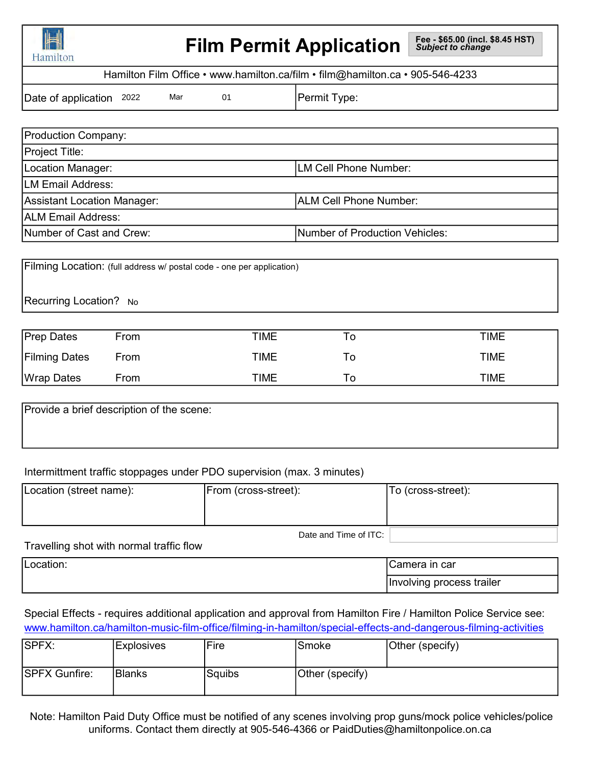| IL<br>I HI THI |
|----------------|
| Hamilton       |

# Film Permit Application

Hamilton Film Office • www.hamilton.ca/film • film@hamilton.ca • 905-546-4233

Date of application: 2022 Mar do position Permit Type:

Mar

| Mar<br>Date of application 2022<br>01                                 | Permit Type:                   |
|-----------------------------------------------------------------------|--------------------------------|
|                                                                       |                                |
| <b>Production Company:</b>                                            |                                |
| Project Title:                                                        |                                |
| Location Manager:                                                     | LM Cell Phone Number:          |
| <b>LM Email Address:</b>                                              |                                |
| <b>Assistant Location Manager:</b>                                    | ALM Cell Phone Number:         |
| <b>ALM Email Address:</b>                                             |                                |
| Number of Cast and Crew:                                              | Number of Production Vehicles: |
|                                                                       |                                |
| Filming Location: (full address w/ postal code - one per application) |                                |
| Recurring Location? No                                                |                                |

Recurring Location? No

| <b>Prep Dates</b>    | From | TIME        | O  | <b>TIME</b> |
|----------------------|------|-------------|----|-------------|
| <b>Filming Dates</b> | From | TIME        | ١o | <b>TIME</b> |
| <b>Wrap Dates</b>    | From | <b>TIME</b> | ١o | <b>TIME</b> |

Provide a brief description of the scene:

# Intermittment traffic stoppages under PDO supervision (max. 3 minutes)

| Location (street name): | From (cross-street):  | To (cross-street): |
|-------------------------|-----------------------|--------------------|
|                         |                       |                    |
|                         | Date and Time of ITC: |                    |

Travelling shot with normal traffic flow

| Location: | amera ın carٽ                             |
|-----------|-------------------------------------------|
|           | <br>, process trailer<br><b>Involving</b> |

## Special Effects - requires additional application and approval from Hamilton Fire / Hamilton Police Service see: www.hamilton.ca/hamilton-music-film-office/filming-in-hamilton/special-effects-and-dangerous-filming-activities

| SPFX:                | <b>Explosives</b> | Fire   | ISmoke          | Other (specify) |
|----------------------|-------------------|--------|-----------------|-----------------|
| <b>SPFX Gunfire:</b> | IBlanks           | Squibs | Other (specify) |                 |

uniforms. Contact them directly at 905-546-4366 or PaidDuties@hamiltonpolice.on.ca Note: Hamilton Paid Duty Office must be notified of any scenes involving prop guns/mock police vehicles/police